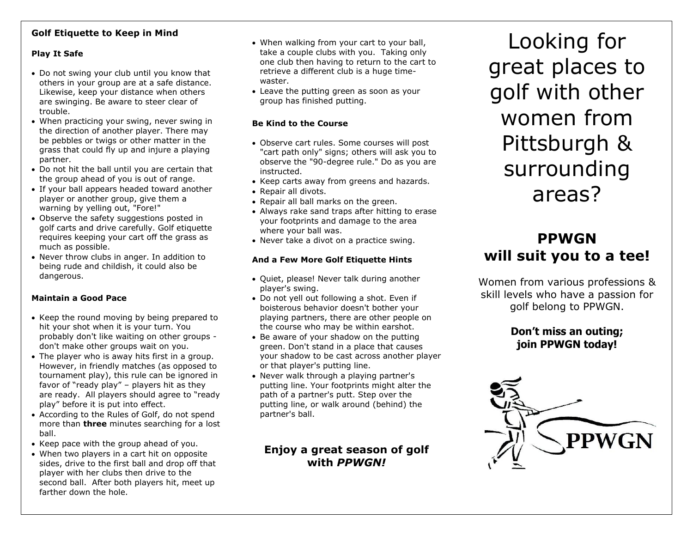## **Golf Etiquette to Keep in Mind**

#### **Play It Safe**

- Do not swing your club until you know that others in your group are at a safe distance. Likewise, keep your distance when others are swinging. Be aware to steer clear of trouble.
- When practicing your swing, never swing in the direction of another player. There may be pebbles or twigs or other matter in the grass that could fly up and injure a playing partner.
- Do not hit the ball until you are certain that the group ahead of you is out of range.
- If your ball appears headed toward another player or another group, give them a warning by yelling out, "Fore!"
- Observe the safety suggestions posted in golf carts and drive carefully. Golf etiquette requires keeping your cart off the grass as much as possible.
- Never throw clubs in anger. In addition to being rude and childish, it could also be dangerous.

#### **Maintain a Good Pace**

- Keep the round moving by being prepared to hit your shot when it is your turn. You probably don't like waiting on other groups don't make other groups wait on you.
- The player who is away hits first in a group. However, in friendly matches (as opposed to tournament play), this rule can be ignored in favor of "ready play" – players hit as they are ready. All players should agree to "ready play" before it is put into effect.
- According to the Rules of Golf, do not spend more than **three** minutes searching for a lost ball.
- Keep pace with the group ahead of you.
- When two players in a cart hit on opposite sides, drive to the first ball and drop off that player with her clubs then drive to the second ball. After both players hit, meet up farther down the hole.
- When walking from your cart to your ball, take a couple clubs with you. Taking only one club then having to return to the cart to retrieve a different club is a huge timewaster.
- Leave the putting green as soon as your group has finished putting.

#### **Be Kind to the Course**

- Observe cart rules. Some courses will post "cart path only" signs; others will ask you to observe the "90-degree rule." Do as you are instructed.
- Keep carts away from greens and hazards.
- Repair all divots.
- Repair all ball marks on the green.
- Always rake sand traps after hitting to erase your footprints and damage to the area where your ball was.
- Never take a divot on a practice swing.

#### **And a Few More Golf Etiquette Hints**

- Quiet, please! Never talk during another player's swing.
- Do not yell out following a shot. Even if boisterous behavior doesn't bother your playing partners, there are other people on the course who may be within earshot.
- Be aware of your shadow on the putting green. Don't stand in a place that causes your shadow to be cast across another player or that player's putting line.
- Never walk through a playing partner's putting line. Your footprints might alter the path of a partner's putt. Step over the putting line, or walk around (behind) the partner's ball.

# **Enjoy a great season of golf with** *PPWGN!*

Looking for great places to golf with other women from Pittsburgh & surrounding areas?

# **PPWGN will suit you to a tee!**

Women from various professions & skill levels who have a passion for golf belong to PPWGN.

## **Don't miss an outing; join PPWGN today!**